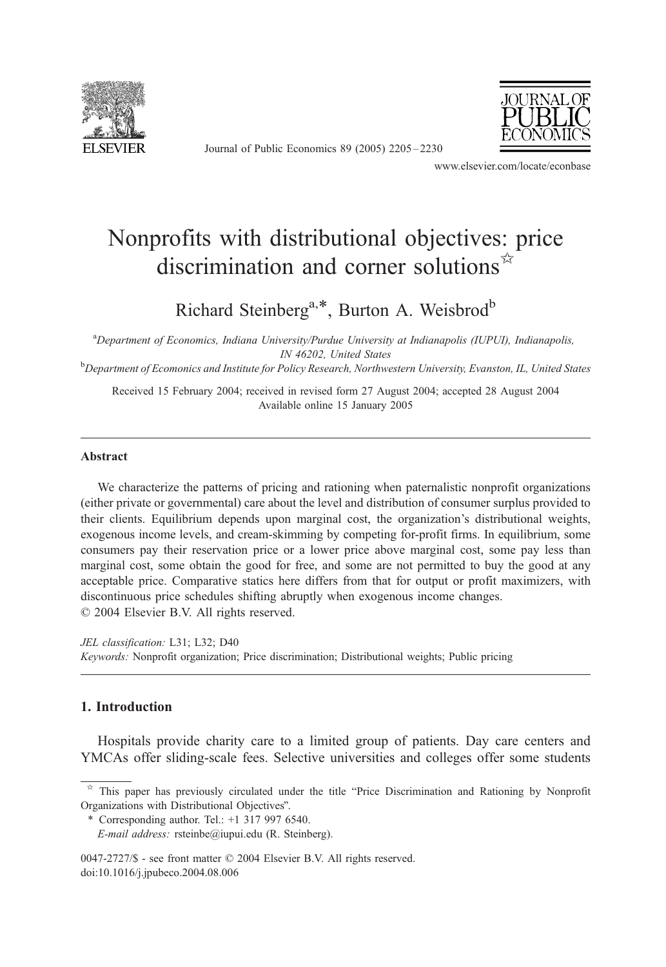

Journal of Public Economics 89 (2005) 2205 – 2230



www.elsevier.com/locate/econbase

## Nonprofits with distributional objectives: price discrimination and corner solutions $\vec{B}$

Richard Steinberg<sup>a,\*</sup>, Burton A. Weisbrod<sup>b</sup>

<sup>a</sup>Department of Economics, Indiana University/Purdue University at Indianapolis (IUPUI), Indianapolis, IN 46202, United States<br><sup>b</sup>Department of Ecomonics and Institute for Policy Research, Northwestern University, Evanston, IL, United States

Received 15 February 2004; received in revised form 27 August 2004; accepted 28 August 2004 Available online 15 January 2005

## Abstract

We characterize the patterns of pricing and rationing when paternalistic nonprofit organizations (either private or governmental) care about the level and distribution of consumer surplus provided to their clients. Equilibrium depends upon marginal cost, the organization's distributional weights, exogenous income levels, and cream-skimming by competing for-profit firms. In equilibrium, some consumers pay their reservation price or a lower price above marginal cost, some pay less than marginal cost, some obtain the good for free, and some are not permitted to buy the good at any acceptable price. Comparative statics here differs from that for output or profit maximizers, with discontinuous price schedules shifting abruptly when exogenous income changes.  $\odot$  2004 Elsevier B.V. All rights reserved.

JEL classification: L31; L32; D40 Keywords: Nonprofit organization; Price discrimination; Distributional weights; Public pricing

## 1. Introduction

Hospitals provide charity care to a limited group of patients. Day care centers and YMCAs offer sliding-scale fees. Selective universities and colleges offer some students

0047-2727/\$ - see front matter © 2004 Elsevier B.V. All rights reserved. doi:10.1016/j.jpubeco.2004.08.006

 $\overrightarrow{p}$  This paper has previously circulated under the title "Price Discrimination and Rationing by Nonprofit Organizations with Distributional Objectives".

<sup>\*</sup> Corresponding author. Tel.: +1 317 997 6540. E-mail address: rsteinbe@iupui.edu (R. Steinberg).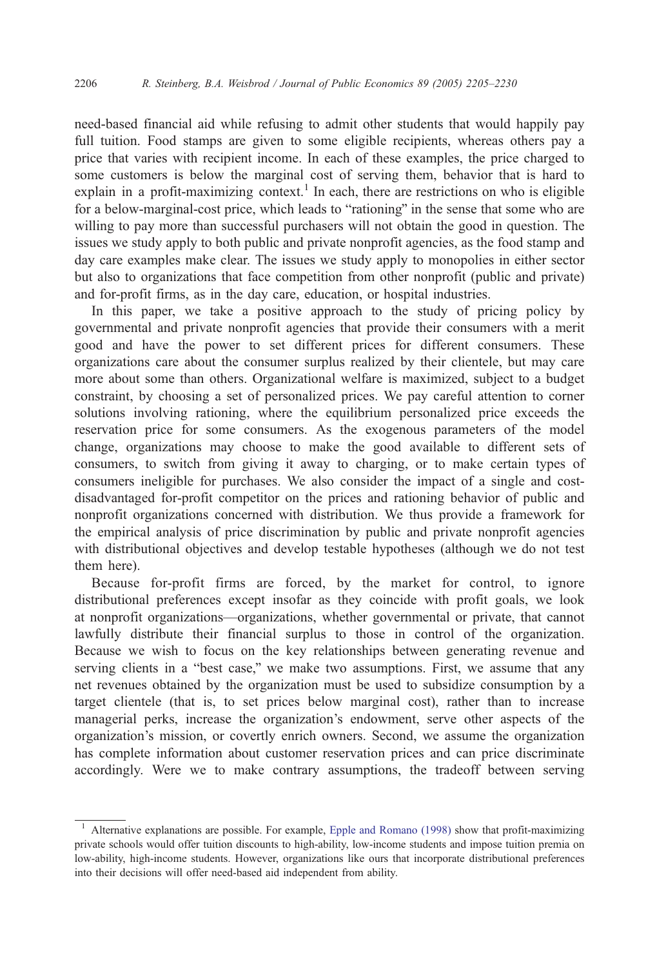need-based financial aid while refusing to admit other students that would happily pay full tuition. Food stamps are given to some eligible recipients, whereas others pay a price that varies with recipient income. In each of these examples, the price charged to some customers is below the marginal cost of serving them, behavior that is hard to explain in a profit-maximizing context.<sup>1</sup> In each, there are restrictions on who is eligible for a below-marginal-cost price, which leads to "rationing" in the sense that some who are willing to pay more than successful purchasers will not obtain the good in question. The issues we study apply to both public and private nonprofit agencies, as the food stamp and day care examples make clear. The issues we study apply to monopolies in either sector but also to organizations that face competition from other nonprofit (public and private) and for-profit firms, as in the day care, education, or hospital industries.

In this paper, we take a positive approach to the study of pricing policy by governmental and private nonprofit agencies that provide their consumers with a merit good and have the power to set different prices for different consumers. These organizations care about the consumer surplus realized by their clientele, but may care more about some than others. Organizational welfare is maximized, subject to a budget constraint, by choosing a set of personalized prices. We pay careful attention to corner solutions involving rationing, where the equilibrium personalized price exceeds the reservation price for some consumers. As the exogenous parameters of the model change, organizations may choose to make the good available to different sets of consumers, to switch from giving it away to charging, or to make certain types of consumers ineligible for purchases. We also consider the impact of a single and costdisadvantaged for-profit competitor on the prices and rationing behavior of public and nonprofit organizations concerned with distribution. We thus provide a framework for the empirical analysis of price discrimination by public and private nonprofit agencies with distributional objectives and develop testable hypotheses (although we do not test them here).

Because for-profit firms are forced, by the market for control, to ignore distributional preferences except insofar as they coincide with profit goals, we look at nonprofit organizations—organizations, whether governmental or private, that cannot lawfully distribute their financial surplus to those in control of the organization. Because we wish to focus on the key relationships between generating revenue and serving clients in a "best case," we make two assumptions. First, we assume that any net revenues obtained by the organization must be used to subsidize consumption by a target clientele (that is, to set prices below marginal cost), rather than to increase managerial perks, increase the organization's endowment, serve other aspects of the organization's mission, or covertly enrich owners. Second, we assume the organization has complete information about customer reservation prices and can price discriminate accordingly. Were we to make contrary assumptions, the tradeoff between serving

<sup>&</sup>lt;sup>1</sup> Alternative explanations are possible. For example, [Epple and Romano \(1998\)](#page--1-0) show that profit-maximizing private schools would offer tuition discounts to high-ability, low-income students and impose tuition premia on low-ability, high-income students. However, organizations like ours that incorporate distributional preferences into their decisions will offer need-based aid independent from ability.